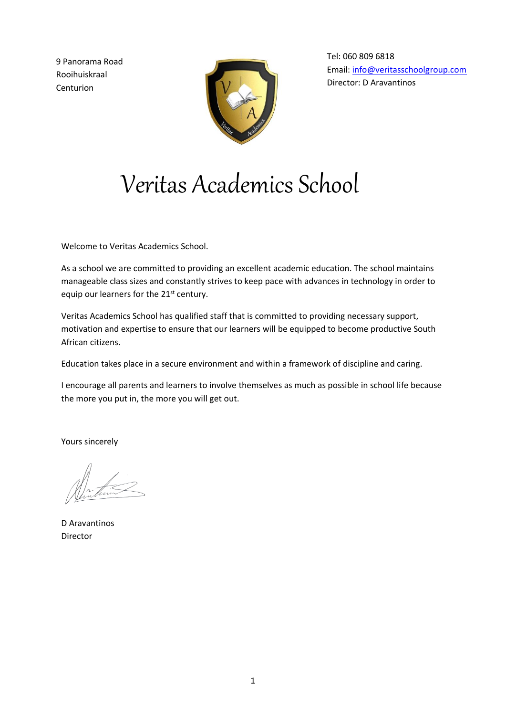9 Panorama Road Rooihuiskraal Centurion



Tel: 060 809 6818 Email: [info@veritasschoolgroup.com](mailto:info@veritasschoolgroup.com) Director: D Aravantinos

# Veritas Academics School

Welcome to Veritas Academics School.

As a school we are committed to providing an excellent academic education. The school maintains manageable class sizes and constantly strives to keep pace with advances in technology in order to equip our learners for the 21<sup>st</sup> century.

Veritas Academics School has qualified staff that is committed to providing necessary support, motivation and expertise to ensure that our learners will be equipped to become productive South African citizens.

Education takes place in a secure environment and within a framework of discipline and caring.

I encourage all parents and learners to involve themselves as much as possible in school life because the more you put in, the more you will get out.

Yours sincerely

D Aravantinos Director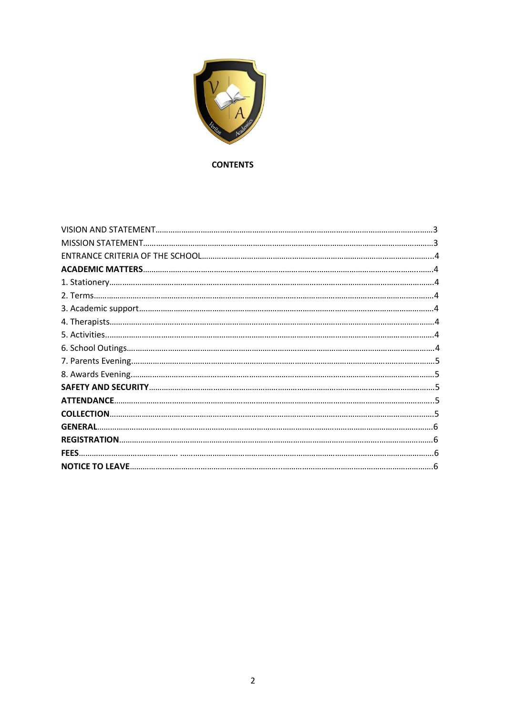

## **CONTENTS**

| <b>ATTENDANCE.</b> |  |
|--------------------|--|
| <b>COLLECTION.</b> |  |
| <b>GENERAL</b>     |  |
|                    |  |
| FFFS.              |  |
|                    |  |
|                    |  |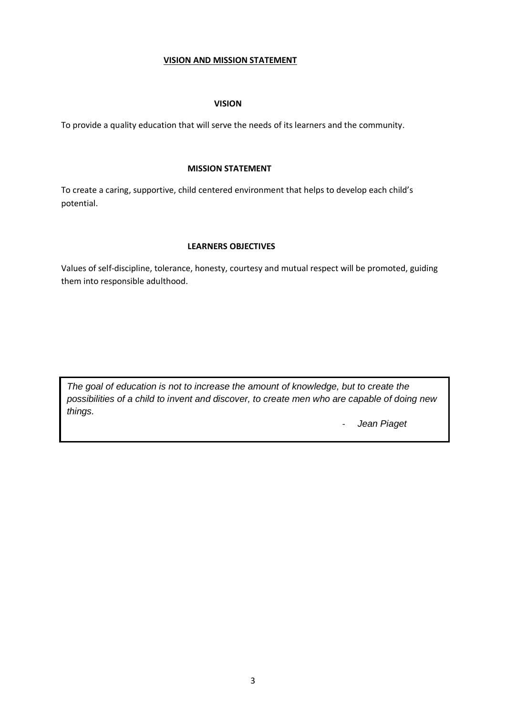## **VISION AND MISSION STATEMENT**

## **VISION**

To provide a quality education that will serve the needs of its learners and the community.

## **MISSION STATEMENT**

To create a caring, supportive, child centered environment that helps to develop each child's potential.

## **LEARNERS OBJECTIVES**

Values of self-discipline, tolerance, honesty, courtesy and mutual respect will be promoted, guiding them into responsible adulthood.

*The goal of education is not to increase the amount of knowledge, but to create the possibilities of a child to invent and discover, to create men who are capable of doing new things.*

- *Jean Piaget*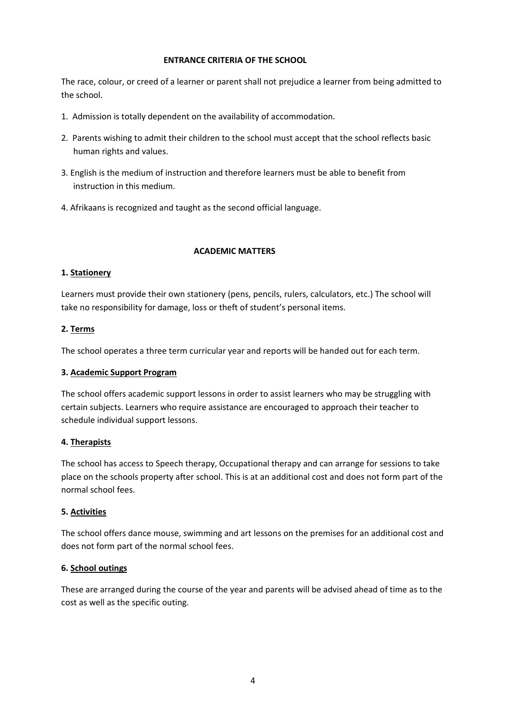## **ENTRANCE CRITERIA OF THE SCHOOL**

The race, colour, or creed of a learner or parent shall not prejudice a learner from being admitted to the school.

- 1. Admission is totally dependent on the availability of accommodation.
- 2. Parents wishing to admit their children to the school must accept that the school reflects basic human rights and values.
- 3. English is the medium of instruction and therefore learners must be able to benefit from instruction in this medium.
- 4. Afrikaans is recognized and taught as the second official language.

## **ACADEMIC MATTERS**

## **1. Stationery**

Learners must provide their own stationery (pens, pencils, rulers, calculators, etc.) The school will take no responsibility for damage, loss or theft of student's personal items.

## **2. Terms**

The school operates a three term curricular year and reports will be handed out for each term.

## **3. Academic Support Program**

The school offers academic support lessons in order to assist learners who may be struggling with certain subjects. Learners who require assistance are encouraged to approach their teacher to schedule individual support lessons.

## **4. Therapists**

The school has access to Speech therapy, Occupational therapy and can arrange for sessions to take place on the schools property after school. This is at an additional cost and does not form part of the normal school fees.

## **5. Activities**

The school offers dance mouse, swimming and art lessons on the premises for an additional cost and does not form part of the normal school fees.

## **6. School outings**

These are arranged during the course of the year and parents will be advised ahead of time as to the cost as well as the specific outing.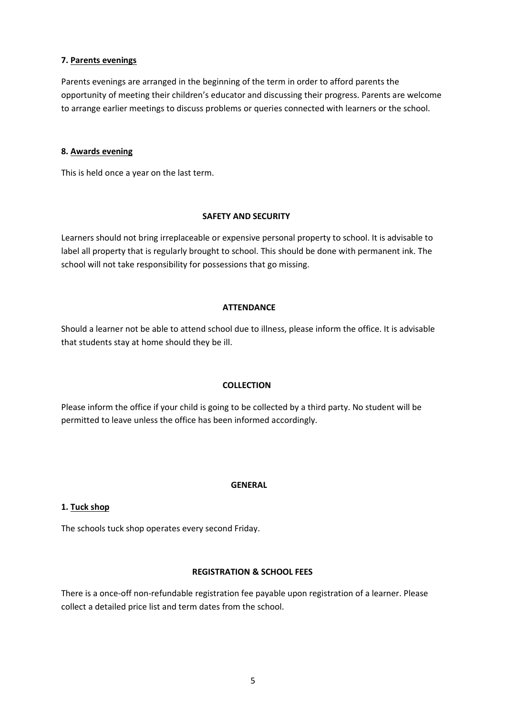## **7. Parents evenings**

Parents evenings are arranged in the beginning of the term in order to afford parents the opportunity of meeting their children's educator and discussing their progress. Parents are welcome to arrange earlier meetings to discuss problems or queries connected with learners or the school.

## **8. Awards evening**

This is held once a year on the last term.

#### **SAFETY AND SECURITY**

Learners should not bring irreplaceable or expensive personal property to school. It is advisable to label all property that is regularly brought to school. This should be done with permanent ink. The school will not take responsibility for possessions that go missing.

#### **ATTENDANCE**

Should a learner not be able to attend school due to illness, please inform the office. It is advisable that students stay at home should they be ill.

## **COLLECTION**

Please inform the office if your child is going to be collected by a third party. No student will be permitted to leave unless the office has been informed accordingly.

## **GENERAL**

## **1. Tuck shop**

The schools tuck shop operates every second Friday.

#### **REGISTRATION & SCHOOL FEES**

There is a once-off non-refundable registration fee payable upon registration of a learner. Please collect a detailed price list and term dates from the school.